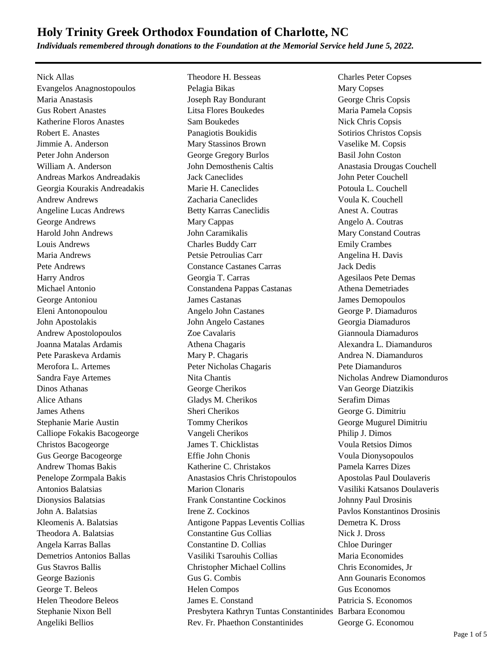*Individuals remembered through donations to the Foundation at the Memorial Service held June 5, 2022.*

Nick Allas Theodore H. Besseas Charles Peter Copses

Evangelos Anagnostopoulos Pelagia Bikas Mary Copses Maria Anastasis Joseph Ray Bondurant George Chris Copsis Gus Robert Anastes Litsa Flores Boukedes Maria Pamela Copsis Katherine Floros Anastes Sam Boukedes Nick Chris Copsis Robert E. Anastes **Panagiotis Boukidis** Sotirios Christos Copsis Sotirios Christos Copsis Jimmie A. Anderson Mary Stassinos Brown Vaselike M. Copsis Peter John Anderson George Gregory Burlos Basil John Coston William A. Anderson **Iohn Demosthenis Caltis** Anastasia Drougas Couchell Andreas Markos Andreadakis Jack Caneclides John Peter Couchell Georgia Kourakis Andreadakis Marie H. Caneclides Potoula L. Couchell Andrew Andrews Zacharia Caneclides Voula K. Couchell Angeline Lucas Andrews Betty Karras Caneclidis Anest A. Coutras Caneclidis George Andrews **Mary Cappas** Angelo A. Coutras Angelo A. Coutras Angelo A. Coutras Harold John Andrews John Caramikalis Mary Constand Coutras Louis Andrews Charles Buddy Carr Emily Crambes Maria Andrews Petsie Petroulias Carr Angelina H. Davis Pete Andrews Constance Castanes Carras Jack Dedis Harry Andros **Figure 2.1 Contract Contract Contract Contract Contract Contract Contract Contract Contract Contract Contract Contract Agesilaos Pete Demas** Michael Antonio Constandena Pappas Castanas Athena Demetriades George Antoniou James Castanas James Demopoulos Eleni Antonopoulou Angelo John Castanes George P. Diamaduros John Apostolakis John Angelo Castanes Georgia Diamaduros Andrew Apostolopoulos Zoe Cavalaris Giannoula Diamaduros Joanna Matalas Ardamis **Athena Chagaris** Athena Chagaris Alexandra L. Diamanduros Pete Paraskeva Ardamis **Mary P. Chagaris** Andrea N. Diamanduros Merofora L. Artemes Peter Nicholas Chagaris Pete Diamanduros Sandra Faye Artemes **Nita Chantis** Nita Chantis Nicholas Andrew Diamonduros Dinos Athanas George Cherikos Van George Diatzikis Alice Athans Gladys M. Cherikos Serafim Dimas James Athens Sheri Cherikos George G. Dimitriu Stephanie Marie Austin Tommy Cherikos George Mugurel Dimitriu Calliope Fokakis Bacogeorge Vangeli Cherikos Philip J. Dimos Christos Bacogeorge James T. Chicklistas Voula Retsios Dimos Gus George Bacogeorge Effie John Chonis Voula Dionysopoulos Andrew Thomas Bakis **Katherine C. Christakos** Pamela Karres Dizes Penelope Zormpala Bakis **Anastasios Chris Christopoulos** Apostolas Paul Doulaveris Antonios Balatsias Marion Clonaris Vasiliki Katsanos Doulaveris Dionysios Balatsias Frank Constantine Cockinos Johnny Paul Drosinis John A. Balatsias Irene Z. Cockinos Pavlos Konstantinos Drosinis Kleomenis A. Balatsias **Antigone Pappas Leventis Collias** Demetra K. Dross Theodora A. Balatsias Constantine Gus Collias Nick J. Dross Angela Karras Ballas Constantine D. Collias Chloe Duringer Demetrios Antonios Ballas Vasiliki Tsarouhis Collias Maria Economides Gus Stavros Ballis Christopher Michael Collins Chris Economides, Jr George Bazionis Gus G. Combis Ann Gounaris Economos George T. Beleos **Helen Compos** Gus Economos Gus Economos Helen Theodore Beleos James E. Constand Patricia S. Economos Stephanie Nixon Bell Presbytera Kathryn Tuntas Constantinides Barbara Economou Angeliki Bellios **Rev. Fr. Phaethon Constantinides** George G. Economou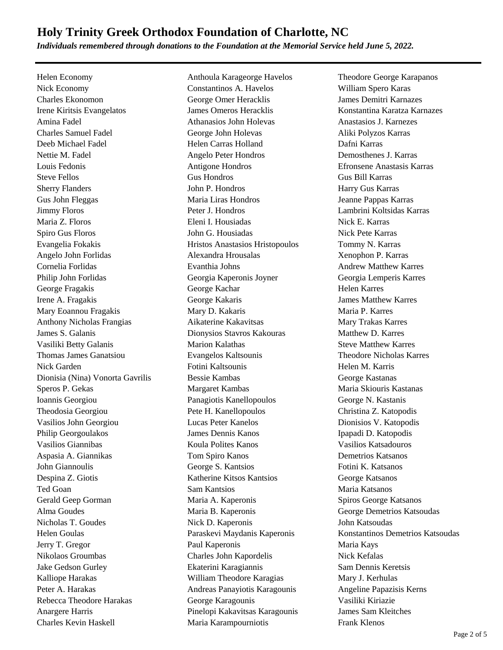*Individuals remembered through donations to the Foundation at the Memorial Service held June 5, 2022.*

Helen Economy Anthoula Karageorge Havelos Theodore George Karapanos Nick Economy Constantinos A. Havelos William Spero Karas Charles Ekonomon George Omer Heracklis James Demitri Karnazes Irene Kiritsis Evangelatos James Omeros Heracklis Konstantina Karatza Karnazes Amina Fadel Athanasios John Holevas Anastasios J. Karnezes Charles Samuel Fadel George John Holevas Aliki Polyzos Karras Deeb Michael Fadel Helen Carras Holland Dafni Karras Nettie M. Fadel Angelo Peter Hondros Demosthenes J. Karras Louis Fedonis Antigone Hondros Efronsene Anastasis Karras Steve Fellos Gus Hondros Gus Bill Karras Sherry Flanders **Sherry Flanders** John P. Hondros **Harry Gus Karras** Gus John Fleggas Maria Liras Hondros Jeanne Pappas Karras Jimmy Floros Peter J. Hondros Lambrini Koltsidas Karras Maria Z. Floros Eleni I. Housiadas Nick E. Karras Spiro Gus Floros John G. Housiadas Nick Pete Karras Evangelia Fokakis Hristos Anastasios Hristopoulos Tommy N. Karras Angelo John Forlidas Alexandra Hrousalas Xenophon P. Karras Cornelia Forlidas Evanthia Johns Andrew Matthew Karres Philip John Forlidas Georgia Kaperonis Joyner Georgia Lemperis Karres George Fragakis George Kachar Helen Karres Irene A. Fragakis George Kakaris James Matthew Karres Mary Eoannou Fragakis Mary D. Kakaris Maria P. Karres Anthony Nicholas Frangias Aikaterine Kakavitsas Mary Trakas Karres James S. Galanis Dionysios Stavros Kakouras Matthew D. Karres Vasiliki Betty Galanis **Marion Kalathas** Steve Matthew Karres Thomas James Ganatsiou Evangelos Kaltsounis Theodore Nicholas Karres Nick Garden Fotini Kaltsounis Helen M. Karris Dionisia (Nina) Vonorta Gavrilis Bessie Kambas George Kastanas Speros P. Gekas Margaret Kambas Maria Skiouris Kastanas Ioannis Georgiou Panagiotis Kanellopoulos George N. Kastanis Theodosia Georgiou Pete H. Kanellopoulos Christina Z. Katopodis Vasilios John Georgiou Lucas Peter Kanelos Dionisios V. Katopodis Philip Georgoulakos James Dennis Kanos Ipapadi D. Katopodis Vasilios Giannibas Koula Polites Kanos Vasilios Katsadouros Aspasia A. Giannikas Tom Spiro Kanos Demetrios Katsanos John Giannoulis George S. Kantsios Fotini K. Katsanos Despina Z. Giotis Katherine Kitsos Kantsios George Katsanos Ted Goan Sam Kantsios Maria Katsanos Gerald Geep Gorman **Maria A. Kaperonis** Spiros George Katsanos Alma Goudes **Maria B. Kaperonis** George Demetrios Katsoudas George Demetrios Katsoudas Nicholas T. Goudes Nick D. Kaperonis John Katsoudas Jerry T. Gregor Paul Kaperonis Maria Kays Nikolaos Groumbas Charles John Kapordelis Nick Kefalas Jake Gedson Gurley Ekaterini Karagiannis Sam Dennis Keretsis Kalliope Harakas **Mary J. Kerhulas** William Theodore Karagias Mary J. Kerhulas Peter A. Harakas Andreas Panayiotis Karagounis Angeline Papazisis Kerns Rebecca Theodore Harakas George Karagounis Vasiliki Kiriazie Anargere Harris Pinelopi Kakavitsas Karagounis James Sam Kleitches Charles Kevin Haskell Maria Karampourniotis Frank Klenos

Helen Goulas Paraskevi Maydanis Kaperonis Konstantinos Demetrios Katsoudas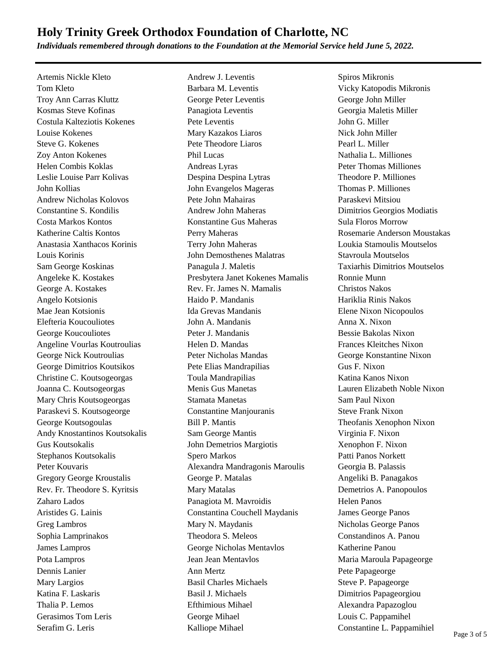*Individuals remembered through donations to the Foundation at the Memorial Service held June 5, 2022.*

Artemis Nickle Kleto **Andrew J. Leventis** Spiros Mikronis Spiros Mikronis

Tom Kleto Barbara M. Leventis Vicky Katopodis Mikronis Troy Ann Carras Kluttz George Peter Leventis George John Miller Kosmas Steve Kofinas Panagiota Leventis Georgia Maletis Miller Costula Kalteziotis Kokenes Pete Leventis John G. Miller Louise Kokenes Mary Kazakos Liaros Nick John Miller Steve G. Kokenes **Pete Theodore Liaros** Pearl L. Miller Zoy Anton Kokenes Phil Lucas Nathalia L. Milliones Helen Combis Koklas **Andreas Lyras** Andreas Lyras Peter Thomas Milliones Leslie Louise Parr Kolivas Despina Despina Lytras Theodore P. Milliones John Kollias John Evangelos Mageras Thomas P. Milliones Andrew Nicholas Kolovos Pete John Mahairas Paraskevi Mitsiou Constantine S. Kondilis Andrew John Maheras Dimitrios Georgios Modiatis Costa Markos Kontos Konstantine Gus Maheras Sula Floros Morrow Katherine Caltis Kontos **Perry Maheras** Perry Maheras Rosemarie Anderson Moustakas Anastasia Xanthacos Korinis Terry John Maheras Loukia Stamoulis Moutselos Louis Korinis John Demosthenes Malatras Stavroula Moutselos Sam George Koskinas Panagula J. Maletis Taxiarhis Dimitrios Moutselos Angeleke K. Kostakes Presbytera Janet Kokenes Mamalis Ronnie Munn George A. Kostakes Rev. Fr. James N. Mamalis Christos Nakos Angelo Kotsionis Haido P. Mandanis Hariklia Rinis Nakos Mae Jean Kotsionis Ida Grevas Mandanis Elene Nixon Nicopoulos Elefteria Koucouliotes John A. Mandanis Anna X. Nixon George Koucouliotes **Peter J. Mandanis** Bessie Bakolas Nixon Angeline Vourlas Koutroulias Frances Kleitches Nixon George Nick Koutroulias Peter Nicholas Mandas George Konstantine Nixon George Dimitrios Koutsikos Pete Elias Mandrapilias Gus F. Nixon Christine C. Koutsogeorgas Toula Mandrapilias Katina Kanos Nixon Joanna C. Koutsogeorgas Menis Gus Manetas Lauren Elizabeth Noble Nixon Mary Chris Koutsogeorgas Stamata Manetas Sam Paul Nixon Paraskevi S. Koutsogeorge Constantine Manjouranis Steve Frank Nixon George Koutsogoulas Bill P. Mantis Theofanis Xenophon Nixon Andy Knostantinos Koutsokalis Sam George Mantis Virginia F. Nixon Gus Koutsokalis John Demetrios Margiotis Xenophon F. Nixon Stephanos Koutsokalis Spero Markos Patti Panos Norkett Peter Kouvaris Alexandra Mandragonis Maroulis Georgia B. Palassis Gregory George Kroustalis George P. Matalas Angeliki B. Panagakos Rev. Fr. Theodore S. Kyritsis Mary Matalas Demetrios A. Panopoulos Zaharo Lados **Panagiota M. Mavroidis** Helen Panos Aristides G. Lainis Constantina Couchell Maydanis James George Panos Greg Lambros **Mary N. Maydanis** Micholas George Panos Sophia Lamprinakos Theodora S. Meleos Constandinos A. Panou James Lampros George Nicholas Mentavlos Katherine Panou Pota Lampros **Provident Constructs** Jean Jean Mentavlos **Maria Marcaula Papageorge** Dennis Lanier **Ann Mertz** Ann Mertz Pete Papageorge Mary Largios **Basil Charles Michaels** Steve P. Papageorge Katina F. Laskaris Basil J. Michaels Dimitrios Papageorgiou Thalia P. Lemos Efthimious Mihael Alexandra Papazoglou George Mihael Communications C. Pappamihel George Mihael C. Pappamihel Serafim G. Leris Kalliope Mihael Constantine L. Pappamihiel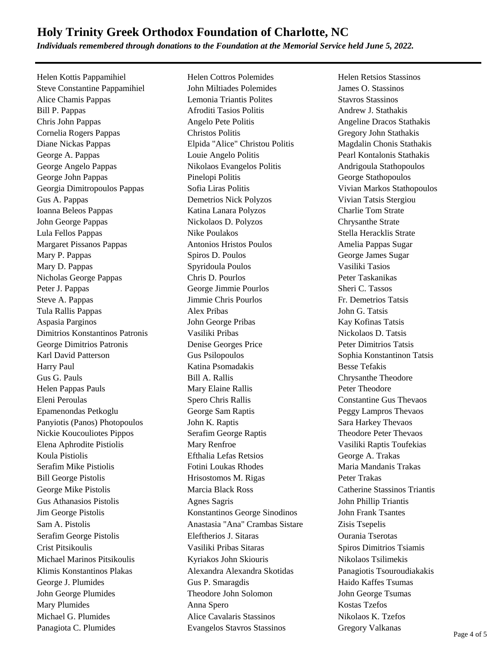*Individuals remembered through donations to the Foundation at the Memorial Service held June 5, 2022.*

Helen Kottis Pappamihiel Helen Cottros Polemides Helen Retsios Stassinos Steve Constantine Pappamihiel John Miltiades Polemides James O. Stassinos Alice Chamis Pappas Lemonia Triantis Polites Stavros Stassinos Bill P. Pappas **Afroditi Tasios Politis Andrew J. Stathakis** Andrew J. Stathakis Chris John Pappas Angelo Pete Politis Angeline Dracos Stathakis Cornelia Rogers Pappas Christos Politis Gregory John Stathakis Diane Nickas Pappas **Elpida "Alice" Christou Politis** Magdalin Chonis Stathakis George A. Pappas Louie Angelo Politis Pearl Kontalonis Stathakis George Angelo Pappas Nikolaos Evangelos Politis Andrigoula Stathopoulos George John Pappas Pinelopi Politis George Stathopoulos Georgia Dimitropoulos Pappas Sofia Liras Politis Vivian Markos Stathopoulos Gus A. Pappas Demetrios Nick Polyzos Vivian Tatsis Stergiou Ioanna Beleos Pappas Katina Lanara Polyzos Charlie Tom Strate John George Pappas Nickolaos D. Polyzos Chrysanthe Strate Lula Fellos Pappas Nike Poulakos Stella Heracklis Strate Margaret Pissanos Pappas Antonios Hristos Poulos Amelia Pappas Sugar Mary P. Pappas Spiros D. Poulos Spiros D. Poulos George James Sugar Mary D. Pappas Spyridoula Poulos Vasiliki Tasios Vasiliki Tasios Nicholas George Pappas Chris D. Pourlos Peter Taskanikas Peter J. Pappas George Jimmie Pourlos Sheri C. Tassos Steve A. Pappas Jimmie Chris Pourlos Fr. Demetrios Tatsis Tula Rallis Pappas Alex Pribas John G. Tatsis Aspasia Parginos John George Pribas Kay Kofinas Tatsis Dimitrios Konstantinos Patronis Vasiliki Pribas Nickolaos D. Tatsis George Dimitrios Patronis Denise Georges Price Peter Dimitrios Tatsis Karl David Patterson Gus Psilopoulos Gus Psilopoulos Sophia Konstantinon Tatsis Harry Paul Katina Psomadakis Besse Tefakis Gus G. Pauls **G. Pauls Bill A. Rallis Chrysanthe Theodore Constant A. Rallis Chrysanthe Theodore** Helen Pappas Pauls **Mary Elaine Rallis** Peter Theodore Eleni Peroulas Spero Chris Rallis Constantine Gus Thevaos Epamenondas Petkoglu George Sam Raptis Peggy Lampros Thevaos Panyiotis (Panos) Photopoulos John K. Raptis Sara Harkey Thevaos Nickie Koucouliotes Pippos Serafim George Raptis Theodore Peter Thevaos Elena Aphrodite Pistiolis Mary Renfroe Vasiliki Raptis Toufekias Koula Pistiolis Efthalia Lefas Retsios George A. Trakas Serafim Mike Pistiolis Fotini Loukas Rhodes Maria Mandanis Trakas Bill George Pistolis **Hrisostomos M. Rigas** Peter Trakas George Mike Pistolis Marcia Black Ross Catherine Stassinos Triantis Gus Athanasios Pistolis Agnes Sagris John Phillip Triantis Jim George Pistolis Konstantinos George Sinodinos John Frank Tsantes Sam A. Pistolis **Anastasia "Anal" Crambas Sistare** Zisis Tsepelis Serafim George Pistolis Eleftherios J. Sitaras Ourania Tserotas Crist Pitsikoulis Vasiliki Pribas Sitaras Spiros Dimitrios Tsiamis Michael Marinos Pitsikoulis Kyriakos John Skiouris Nikolaos Tsilimekis Klimis Konstantinos Plakas Alexandra Alexandra Skotidas Panagiotis Tsouroudiakakis George J. Plumides Gus P. Smaragdis Gus P. Smaragdis Haido Kaffes Tsumas John George Plumides Theodore John Solomon John George Tsumas Mary Plumides **Anna Spero** Anna Spero **Anna Spero Kostas Tzefos** Michael G. Plumides **Alice Cavalaris Stassinos** Nikolaos K. Tzefos Panagiota C. Plumides Evangelos Stavros Stassinos Gregory Valkanas